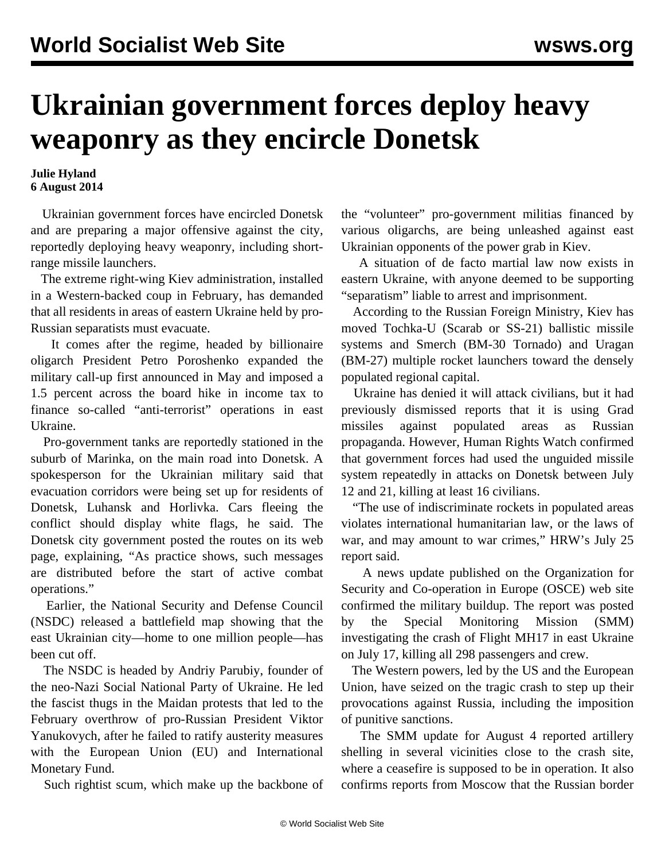## **Ukrainian government forces deploy heavy weaponry as they encircle Donetsk**

**Julie Hyland 6 August 2014**

 Ukrainian government forces have encircled Donetsk and are preparing a major offensive against the city, reportedly deploying heavy weaponry, including shortrange missile launchers.

 The extreme right-wing Kiev administration, installed in a Western-backed coup in February, has demanded that all residents in areas of eastern Ukraine held by pro-Russian separatists must evacuate.

 It comes after the regime, headed by billionaire oligarch President Petro Poroshenko expanded the military call-up first announced in May and imposed a 1.5 percent across the board hike in income tax to finance so-called "anti-terrorist" operations in east Ukraine.

 Pro-government tanks are reportedly stationed in the suburb of Marinka, on the main road into Donetsk. A spokesperson for the Ukrainian military said that evacuation corridors were being set up for residents of Donetsk, Luhansk and Horlivka. Cars fleeing the conflict should display white flags, he said. The Donetsk city government posted the routes on its web page, explaining, "As practice shows, such messages are distributed before the start of active combat operations."

 Earlier, the National Security and Defense Council (NSDC) released a battlefield map showing that the east Ukrainian city—home to one million people—has been cut off.

 The NSDC is headed by Andriy Parubiy, founder of the neo-Nazi Social National Party of Ukraine. He led the fascist thugs in the Maidan protests that led to the February overthrow of pro-Russian President Viktor Yanukovych, after he failed to ratify austerity measures with the European Union (EU) and International Monetary Fund.

Such rightist scum, which make up the backbone of

the "volunteer" pro-government militias financed by various oligarchs, are being unleashed against east Ukrainian opponents of the power grab in Kiev.

 A situation of de facto martial law now exists in eastern Ukraine, with anyone deemed to be supporting "separatism" liable to arrest and imprisonment.

 According to the Russian Foreign Ministry, Kiev has moved Tochka-U (Scarab or SS-21) ballistic missile systems and Smerch (BM-30 Tornado) and Uragan (BM-27) multiple rocket launchers toward the densely populated regional capital.

 Ukraine has denied it will attack civilians, but it had previously dismissed reports that it is using Grad missiles against populated areas as Russian propaganda. However, Human Rights Watch confirmed that government forces had used the unguided missile system repeatedly in attacks on Donetsk between July 12 and 21, killing at least 16 civilians.

 "The use of indiscriminate rockets in populated areas violates international humanitarian law, or the laws of war, and may amount to war crimes," HRW's July 25 report said.

 A news update published on the Organization for Security and Co-operation in Europe (OSCE) web site confirmed the military buildup. The report was posted by the Special Monitoring Mission (SMM) investigating the crash of Flight MH17 in east Ukraine on July 17, killing all 298 passengers and crew.

 The Western powers, led by the US and the European Union, have seized on the tragic crash to step up their provocations against Russia, including the imposition of punitive sanctions.

 The SMM update for August 4 reported artillery shelling in several vicinities close to the crash site, where a ceasefire is supposed to be in operation. It also confirms reports from Moscow that the Russian border